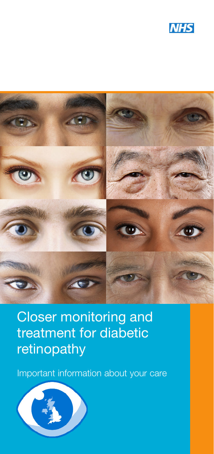



Closer monitoring and treatment for diabetic retinopathy

Important information about your care

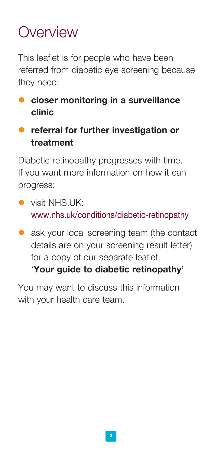## Overview

This leaflet is for people who have been referred from diabetic eye screening because they need:

- $\bullet$  closer monitoring in a surveillance clinic
- **•** referral for further investigation or treatment

Diabetic retinopathy progresses with time. If you want more information on how it can progress:

- $\bullet$  visit NHS.UK: www.nhs.uk/conditions/diabetic-retinopathy
- **a** ask your local screening team (the contact details are on your screening result letter) for a copy of our separate leaflet 'Your guide to diabetic retinopathy'

You may want to discuss this information with your health care team.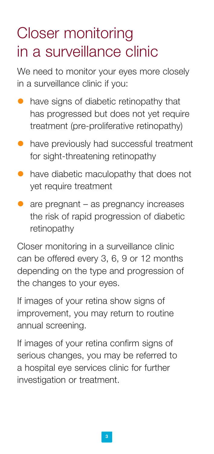## Closer monitoring in a surveillance clinic

We need to monitor your eyes more closely in a surveillance clinic if you:

- $\bullet$  have signs of diabetic retinopathy that has progressed but does not yet require treatment (pre-proliferative retinopathy)
- $\bullet$  have previously had successful treatment for sight-threatening retinopathy
- $\bullet$  have diabetic maculopathy that does not yet require treatment
- $\bullet$  are pregnant as pregnancy increases the risk of rapid progression of diabetic retinopathy

Closer monitoring in a surveillance clinic can be offered every 3, 6, 9 or 12 months depending on the type and progression of the changes to your eyes.

If images of your retina show signs of improvement, you may return to routine annual screening.

If images of your retina confirm signs of serious changes, you may be referred to a hospital eye services clinic for further investigation or treatment.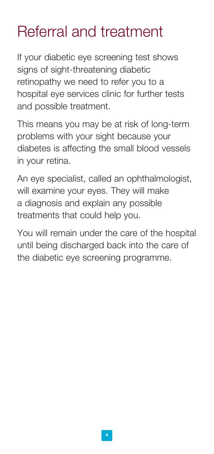# Referral and treatment

If your diabetic eye screening test shows signs of sight-threatening diabetic retinopathy we need to refer you to a hospital eye services clinic for further tests and possible treatment.

This means you may be at risk of long-term problems with your sight because your diabetes is affecting the small blood vessels in your retina.

An eye specialist, called an ophthalmologist, will examine your eyes. They will make a diagnosis and explain any possible treatments that could help you.

You will remain under the care of the hospital until being discharged back into the care of the diabetic eye screening programme.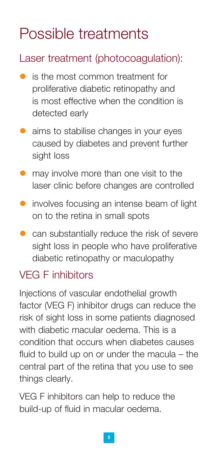# Possible treatments

#### Laser treatment (photocoagulation):

- is the most common treatment for proliferative diabetic retinopathy and is most effective when the condition is detected early
- **•** aims to stabilise changes in your eyes caused by diabetes and prevent further sight loss
- **•** may involve more than one visit to the laser clinic before changes are controlled
- $\bullet$  involves focusing an intense beam of light on to the retina in small spots
- $\bullet$  can substantially reduce the risk of severe sight loss in people who have proliferative diabetic retinopathy or maculopathy

### VEG F inhibitors

Injections of vascular endothelial growth factor (VEG F) inhibitor drugs can reduce the risk of sight loss in some patients diagnosed with diabetic macular oedema. This is a condition that occurs when diabetes causes fluid to build up on or under the macula – the central part of the retina that you use to see things clearly.

VEG F inhibitors can help to reduce the build-up of fluid in macular oedema.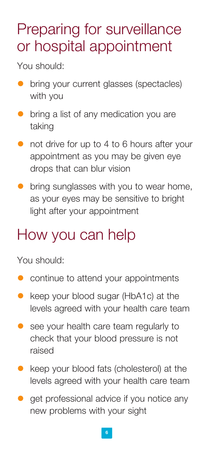### Preparing for surveillance or hospital appointment

You should:

- **•** bring your current glasses (spectacles) with you
- **•** bring a list of any medication you are taking
- $\bullet$  not drive for up to 4 to 6 hours after your appointment as you may be given eye drops that can blur vision
- $\bullet$  bring sunglasses with you to wear home, as your eyes may be sensitive to bright light after your appointment

### How you can help

You should:

- continue to attend your appointments
- keep your blood sugar (HbA1c) at the levels agreed with your health care team
- **e** see your health care team regularly to check that your blood pressure is not raised
- $\bullet$  keep your blood fats (cholesterol) at the levels agreed with your health care team
- $\bullet$  get professional advice if you notice any new problems with your sight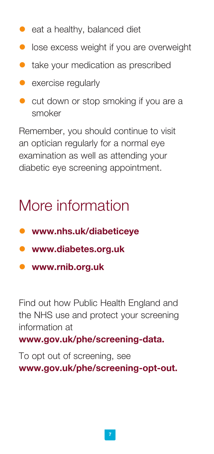- $\bullet$  eat a healthy, balanced diet
- $\bullet$  lose excess weight if you are overweight
- $\bullet$  take your medication as prescribed
- $\bullet$  exercise regularly
- $\bullet$  cut down or stop smoking if you are a smoker

Remember, you should continue to visit an optician regularly for a normal eye examination as well as attending your diabetic eye screening appointment.

## More information

- **.** www.nhs.uk/diabeticeye
- www.diabetes.org.uk
- www.rnib.org.uk

Find out how Public Health England and the NHS use and protect your screening information at

www.gov.uk/phe/screening-data.

To opt out of screening, see www.gov.uk/phe/screening-opt-out.